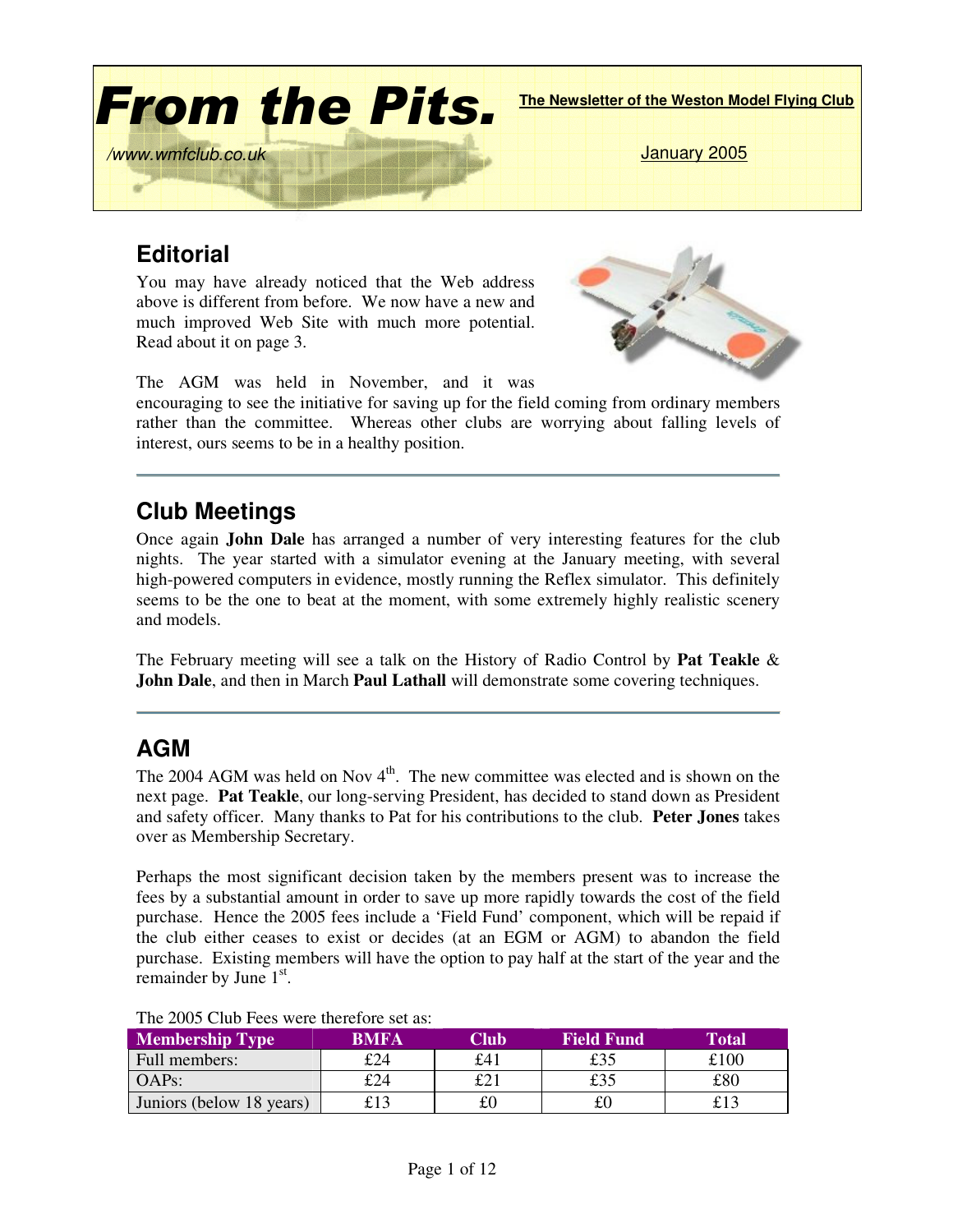

# **Editorial**

You may have already noticed that the Web address above is different from before. We now have a new and much improved Web Site with much more potential. Read about it on page 3.



The AGM was held in November, and it was

encouraging to see the initiative for saving up for the field coming from ordinary members rather than the committee. Whereas other clubs are worrying about falling levels of interest, ours seems to be in a healthy position.

# **Club Meetings**

Once again **John Dale** has arranged a number of very interesting features for the club nights. The year started with a simulator evening at the January meeting, with several high-powered computers in evidence, mostly running the Reflex simulator. This definitely seems to be the one to beat at the moment, with some extremely highly realistic scenery and models.

The February meeting will see a talk on the History of Radio Control by **Pat Teakle** & **John Dale**, and then in March **Paul Lathall** will demonstrate some covering techniques.

## **AGM**

The 2004 AGM was held on Nov  $4<sup>th</sup>$ . The new committee was elected and is shown on the next page. **Pat Teakle**, our long-serving President, has decided to stand down as President and safety officer. Many thanks to Pat for his contributions to the club. **Peter Jones** takes over as Membership Secretary.

Perhaps the most significant decision taken by the members present was to increase the fees by a substantial amount in order to save up more rapidly towards the cost of the field purchase. Hence the 2005 fees include a 'Field Fund' component, which will be repaid if the club either ceases to exist or decides (at an EGM or AGM) to abandon the field purchase. Existing members will have the option to pay half at the start of the year and the remainder by June  $1<sup>st</sup>$ .

| $110 - 2000$ City I CO HOLD MONTHLY<br><b>Membership Type</b> | <b>BMFA</b> | Club | <b>Field Fund</b> | Total |
|---------------------------------------------------------------|-------------|------|-------------------|-------|
|                                                               |             |      |                   |       |
| Full members:                                                 | £24         | £41  | £35               | £100  |
| <b>OAPs:</b>                                                  | £24         | £21  | £35               | £80   |
| Juniors (below 18 years)                                      |             | £(   |                   |       |

The 2005 Club Fees were therefore set as: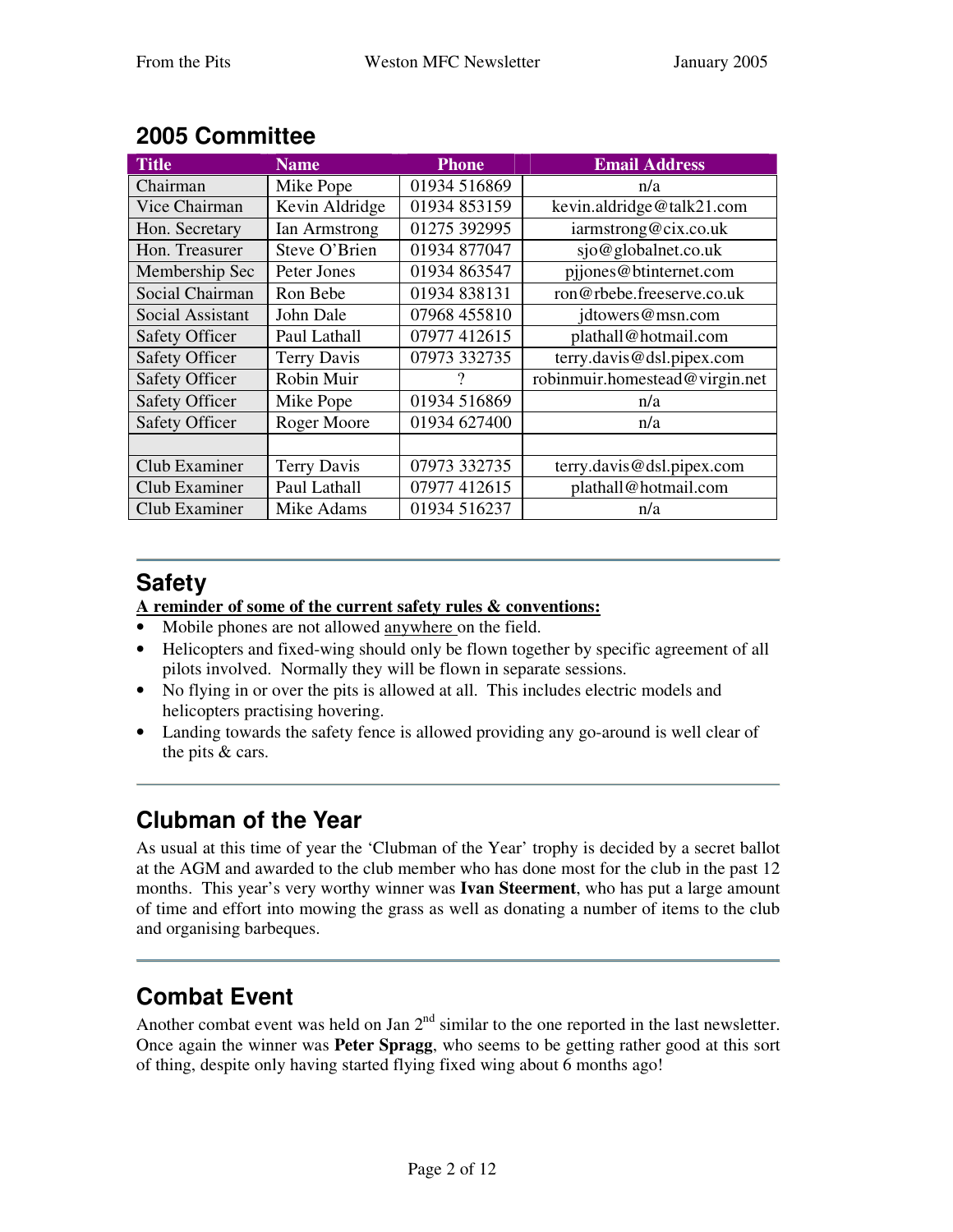| <b>Title</b>          | <b>Name</b>        | <b>Phone</b> | <b>Email Address</b>           |
|-----------------------|--------------------|--------------|--------------------------------|
| Chairman              | Mike Pope          | 01934 516869 | n/a                            |
| Vice Chairman         | Kevin Aldridge     | 01934 853159 | kevin.aldridge@talk21.com      |
| Hon. Secretary        | Ian Armstrong      | 01275 392995 | iarmstrong@cix.co.uk           |
| Hon. Treasurer        | Steve O'Brien      | 01934 877047 | sjo@globalnet.co.uk            |
| Membership Sec        | Peter Jones        | 01934 863547 | pijones@btinternet.com         |
| Social Chairman       | Ron Bebe           | 01934 838131 | ron@rbebe.freeserve.co.uk      |
| Social Assistant      | John Dale          | 07968 455810 | jdtowers@msn.com               |
| <b>Safety Officer</b> | Paul Lathall       | 07977 412615 | plathall@hotmail.com           |
| <b>Safety Officer</b> | <b>Terry Davis</b> | 07973 332735 | terry.davis@dsl.pipex.com      |
| <b>Safety Officer</b> | Robin Muir         | ?            | robinmuir.homestead@virgin.net |
| <b>Safety Officer</b> | Mike Pope          | 01934 516869 | n/a                            |
| <b>Safety Officer</b> | Roger Moore        | 01934 627400 | n/a                            |
|                       |                    |              |                                |
| Club Examiner         | <b>Terry Davis</b> | 07973 332735 | terry.davis@dsl.pipex.com      |
| Club Examiner         | Paul Lathall       | 07977 412615 | plathall@hotmail.com           |
| Club Examiner         | Mike Adams         | 01934 516237 | n/a                            |

# **2005 Committee**

# **Safety**

**A reminder of some of the current safety rules & conventions:**

- Mobile phones are not allowed anywhere on the field.
- Helicopters and fixed-wing should only be flown together by specific agreement of all pilots involved. Normally they will be flown in separate sessions.
- No flying in or over the pits is allowed at all. This includes electric models and helicopters practising hovering.
- Landing towards the safety fence is allowed providing any go-around is well clear of the pits & cars.

# **Clubman of the Year**

As usual at this time of year the 'Clubman of the Year' trophy is decided by a secret ballot at the AGM and awarded to the club member who has done most for the club in the past 12 months. This year's very worthy winner was **Ivan Steerment**, who has put a large amount of time and effort into mowing the grass as well as donating a number of items to the club and organising barbeques.

# **Combat Event**

Another combat event was held on Jan  $2<sup>nd</sup>$  similar to the one reported in the last newsletter. Once again the winner was **Peter Spragg**, who seems to be getting rather good at this sort of thing, despite only having started flying fixed wing about 6 months ago!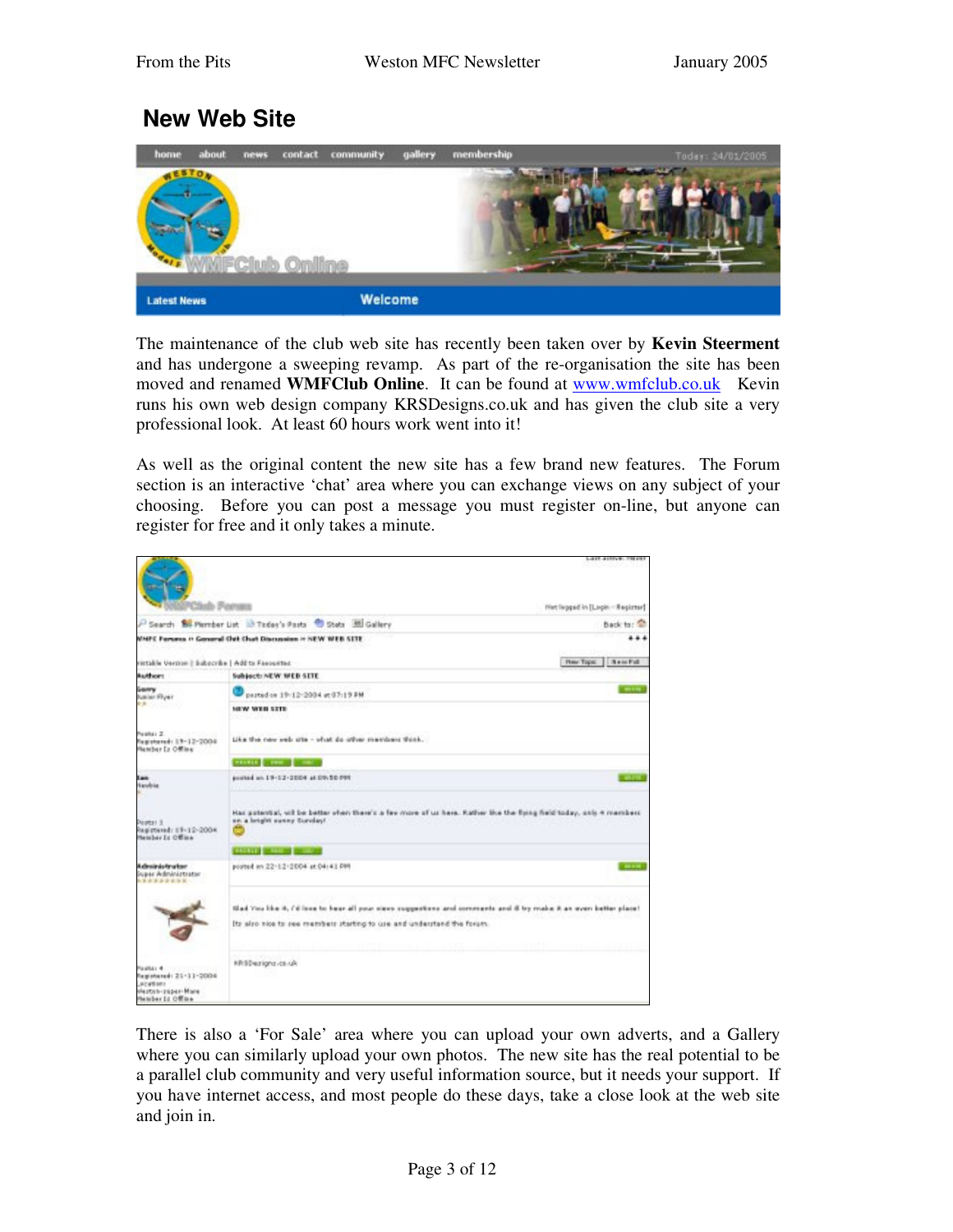### **New Web Site**



The maintenance of the club web site has recently been taken over by **Kevin Steerment** and has undergone a sweeping revamp. As part of the re-organisation the site has been moved and renamed **WMFClub Online**. It can be found at **www.wmfclub.co.uk** Kevin runs his own web design company KRSDesigns.co.uk and has given the club site a very professional look. At least 60 hours work went into it!

As well as the original content the new site has a few brand new features. The Forum section is an interactive 'chat' area where you can exchange views on any subject of your choosing. Before you can post a message you must register on-line, but anyone can register for free and it only takes a minute.

|                                                                                                  |                                                                                                                                                                                                | 1.417.417.71                     |
|--------------------------------------------------------------------------------------------------|------------------------------------------------------------------------------------------------------------------------------------------------------------------------------------------------|----------------------------------|
|                                                                                                  |                                                                                                                                                                                                | Het legged in [Legin - Register] |
|                                                                                                  | - Search Bo Member List 13 Teday's Pasts 10 State 30 Gallery                                                                                                                                   | Back to: 12                      |
|                                                                                                  | WHITE Forums in General Chit Chat Discussion in NEW WEB SITE                                                                                                                                   |                                  |
| vertable Vertise   Subpcybe   Add to Fanourted                                                   |                                                                                                                                                                                                | Hey Tops:<br>1 BancFull          |
| <b>Radborn</b>                                                                                   | Subject: NEW: MED SITE                                                                                                                                                                         |                                  |
| Ganry<br><b>Suites Flyer</b>                                                                     | parted on 19-12-2004 at 07-19 PM                                                                                                                                                               | -                                |
| . .                                                                                              | <b>NEW WEB STE-</b>                                                                                                                                                                            |                                  |
| Pastei Z.<br>Registered: 19-12-2004<br>Member Is Offine                                          | Like the new yeb site - what do other members think.                                                                                                                                           |                                  |
|                                                                                                  | <b>PERSONAL COMMUNICATION</b>                                                                                                                                                                  |                                  |
| Ease<br>Nanobie                                                                                  | posted an 19-12-2004 at DV-50 PH                                                                                                                                                               |                                  |
| Postar I<br>Registered: 19-12-2004<br>Member Is Offine                                           | Has potential, will be better when there's a fee more of us here. Rather like the tyrng held today, only 4 members<br>an a bright sunny Surviey!                                               |                                  |
|                                                                                                  | <b>BURGET BROOK COOL</b>                                                                                                                                                                       |                                  |
| Administrator<br>inger Administrator<br><b>*********</b>                                         | pouted on 22-12-2004 at 04:41 PM                                                                                                                                                               |                                  |
|                                                                                                  | Slad You like it, Cillians to hear all your slees suggestions and concenents and if by make it an even better place!<br>Its also nice to see members starting to use and understand the forum. |                                  |
| Pastei 4<br>Registated: 21-11-2006<br><b>JACASSIN</b><br>Mezten-zuper-Mare<br>Pletcher 12 Office | KRSDezignz.co.uk                                                                                                                                                                               |                                  |

There is also a 'For Sale' area where you can upload your own adverts, and a Gallery where you can similarly upload your own photos. The new site has the real potential to be a parallel club community and very useful information source, but it needs your support. If you have internet access, and most people do these days, take a close look at the web site and join in.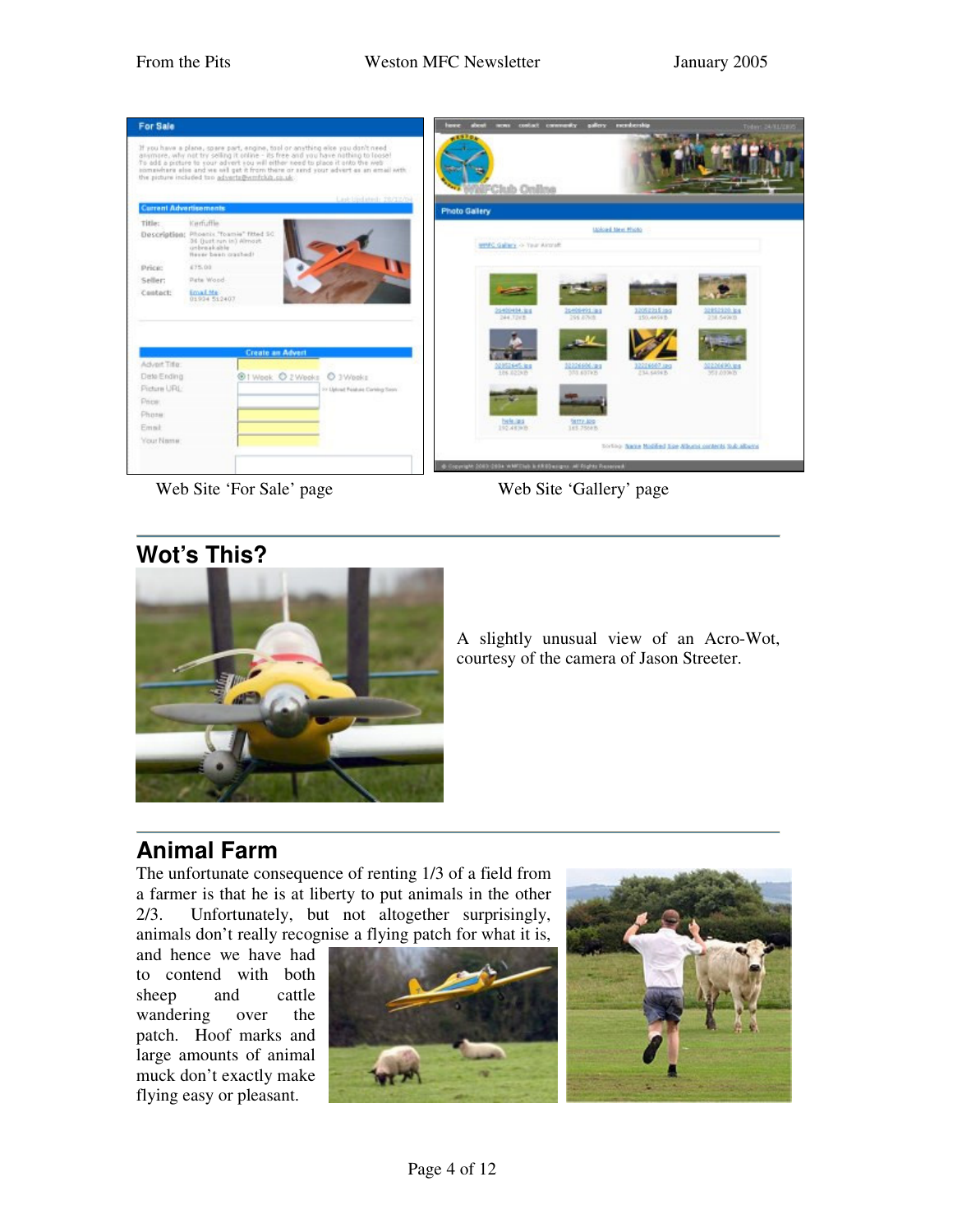

Web Site 'For Sale' page Web Site 'Gallery' page

### **Wot's This?**



A slightly unusual view of an Acro-Wot, courtesy of the camera of Jason Streeter.

## **Animal Farm**

The unfortunate consequence of renting 1/3 of a field from a farmer is that he is at liberty to put animals in the other 2/3. Unfortunately, but not altogether surprisingly, animals don't really recognise a flying patch for what it is,

and hence we have had to contend with both sheep and cattle wandering over the patch. Hoof marks and large amounts of animal muck don't exactly make flying easy or pleasant.



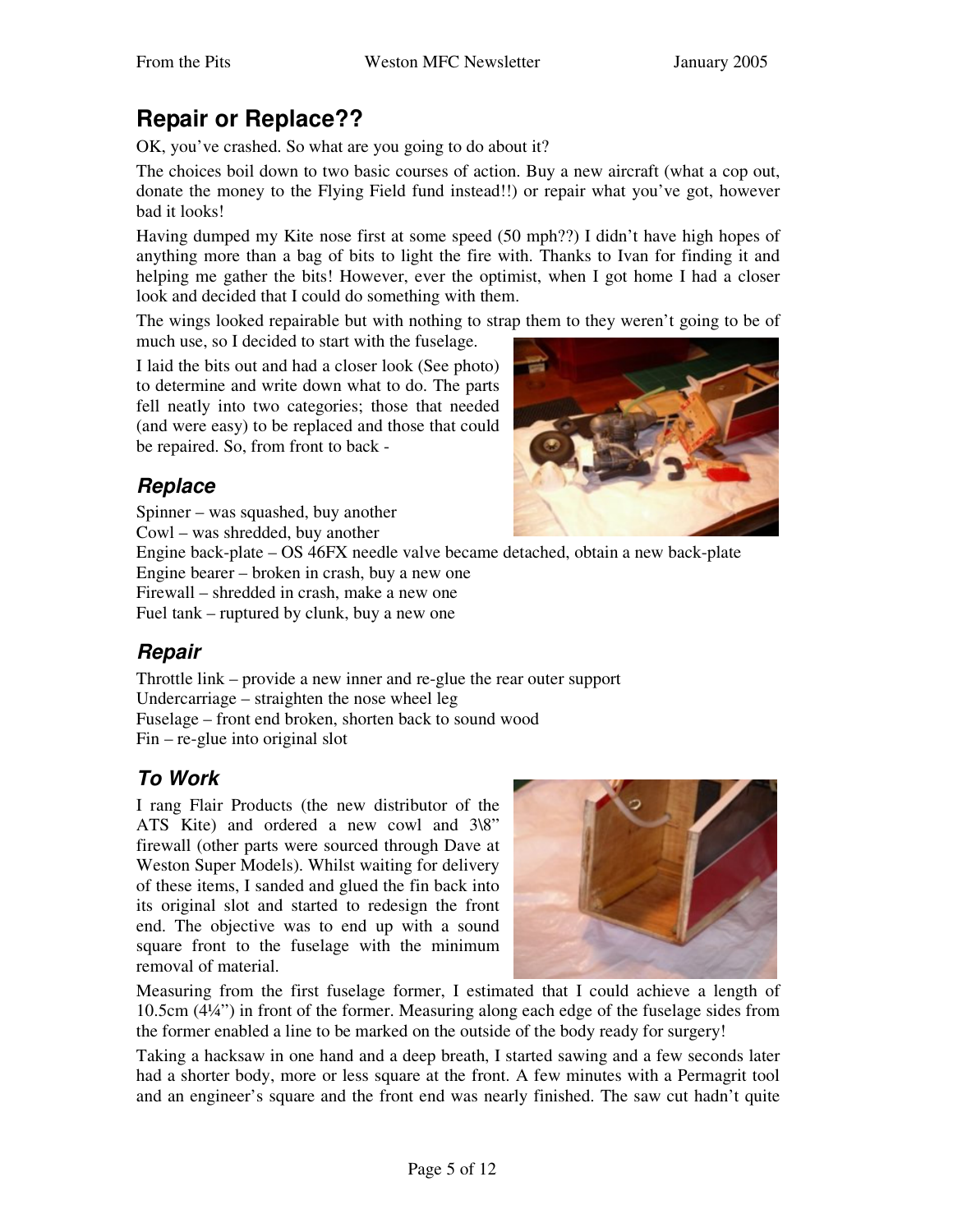# **Repair or Replace??**

OK, you've crashed. So what are you going to do about it?

The choices boil down to two basic courses of action. Buy a new aircraft (what a cop out, donate the money to the Flying Field fund instead!!) or repair what you've got, however bad it looks!

Having dumped my Kite nose first at some speed (50 mph??) I didn't have high hopes of anything more than a bag of bits to light the fire with. Thanks to Ivan for finding it and helping me gather the bits! However, ever the optimist, when I got home I had a closer look and decided that I could do something with them.

The wings looked repairable but with nothing to strap them to they weren't going to be of much use, so I decided to start with the fuselage.

I laid the bits out and had a closer look (See photo) to determine and write down what to do. The parts fell neatly into two categories; those that needed (and were easy) to be replaced and those that could be repaired. So, from front to back -

### *Replace*

Spinner – was squashed, buy another Cowl – was shredded, buy another

Engine back-plate – OS 46FX needle valve became detached, obtain a new back-plate Engine bearer – broken in crash, buy a new one

Firewall – shredded in crash, make a new one

Fuel tank – ruptured by clunk, buy a new one

### *Repair*

Throttle link – provide a new inner and re-glue the rear outer support Undercarriage – straighten the nose wheel leg Fuselage – front end broken, shorten back to sound wood Fin – re-glue into original slot

### *To Work*

I rang Flair Products (the new distributor of the ATS Kite) and ordered a new cowl and 3\8" firewall (other parts were sourced through Dave at Weston Super Models). Whilst waiting for delivery of these items, I sanded and glued the fin back into its original slot and started to redesign the front end. The objective was to end up with a sound square front to the fuselage with the minimum removal of material.



Measuring from the first fuselage former, I estimated that I could achieve a length of 10.5cm (4¼") in front of the former. Measuring along each edge of the fuselage sides from the former enabled a line to be marked on the outside of the body ready for surgery!

Taking a hacksaw in one hand and a deep breath, I started sawing and a few seconds later had a shorter body, more or less square at the front. A few minutes with a Permagrit tool and an engineer's square and the front end was nearly finished. The saw cut hadn't quite

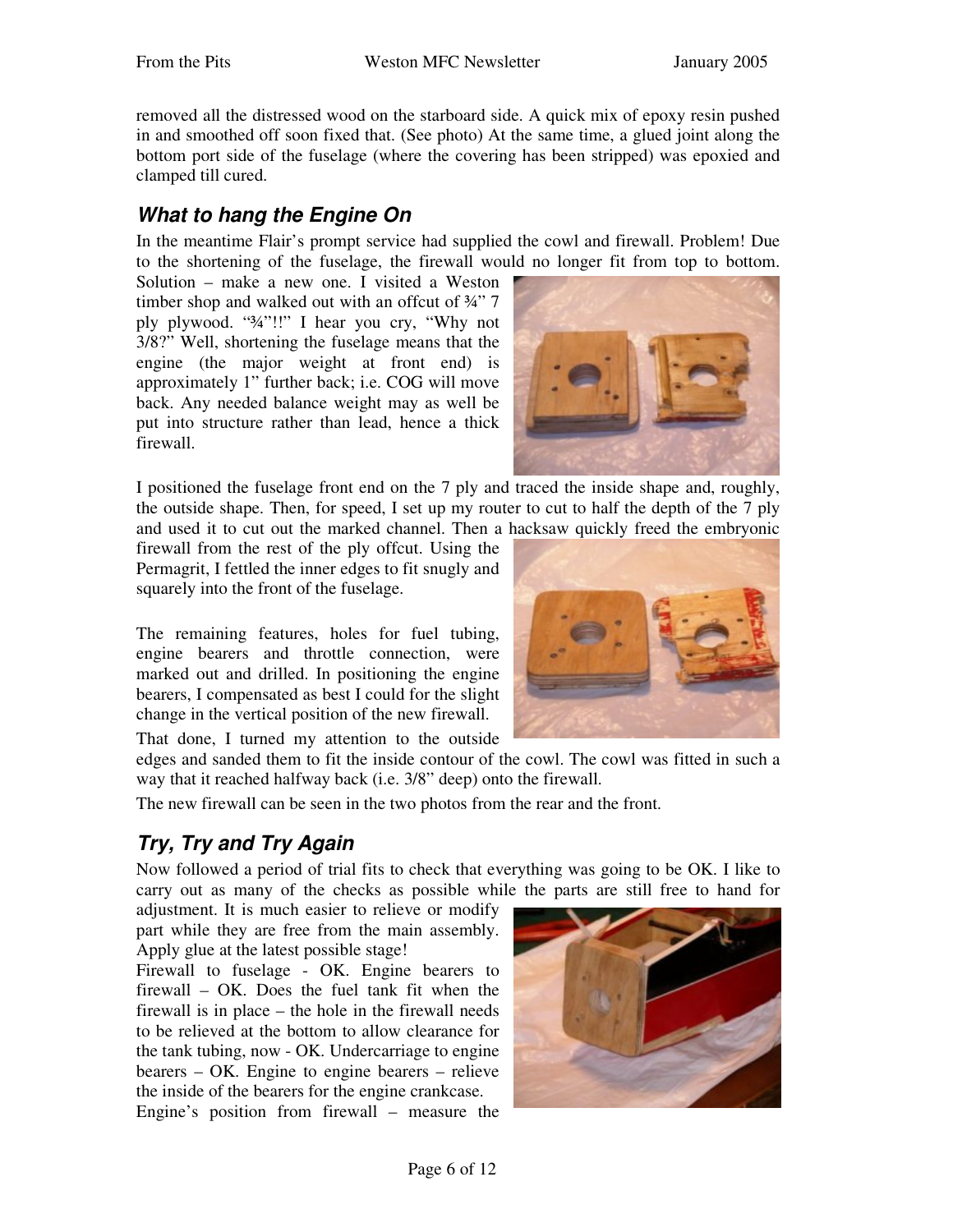removed all the distressed wood on the starboard side. A quick mix of epoxy resin pushed in and smoothed off soon fixed that. (See photo) At the same time, a glued joint along the bottom port side of the fuselage (where the covering has been stripped) was epoxied and clamped till cured.

#### *What to hang the Engine On*

In the meantime Flair's prompt service had supplied the cowl and firewall. Problem! Due to the shortening of the fuselage, the firewall would no longer fit from top to bottom.

Solution – make a new one. I visited a Weston timber shop and walked out with an offcut of ¾" 7 ply plywood. "¾"!!" I hear you cry, "Why not 3/8?" Well, shortening the fuselage means that the engine (the major weight at front end) is approximately 1" further back; i.e. COG will move back. Any needed balance weight may as well be put into structure rather than lead, hence a thick firewall.



I positioned the fuselage front end on the 7 ply and traced the inside shape and, roughly, the outside shape. Then, for speed, I set up my router to cut to half the depth of the 7 ply and used it to cut out the marked channel. Then a hacksaw quickly freed the embryonic

firewall from the rest of the ply offcut. Using the Permagrit, I fettled the inner edges to fit snugly and squarely into the front of the fuselage.

The remaining features, holes for fuel tubing, engine bearers and throttle connection, were marked out and drilled. In positioning the engine bearers, I compensated as best I could for the slight change in the vertical position of the new firewall.

That done, I turned my attention to the outside



edges and sanded them to fit the inside contour of the cowl. The cowl was fitted in such a way that it reached halfway back (i.e. 3/8" deep) onto the firewall.

The new firewall can be seen in the two photos from the rear and the front.

## *Try, Try and Try Again*

Now followed a period of trial fits to check that everything was going to be OK. I like to carry out as many of the checks as possible while the parts are still free to hand for

adjustment. It is much easier to relieve or modify part while they are free from the main assembly. Apply glue at the latest possible stage!

Firewall to fuselage - OK. Engine bearers to firewall – OK. Does the fuel tank fit when the firewall is in place – the hole in the firewall needs to be relieved at the bottom to allow clearance for the tank tubing, now - OK. Undercarriage to engine bearers – OK. Engine to engine bearers – relieve the inside of the bearers for the engine crankcase.

Engine's position from firewall – measure the

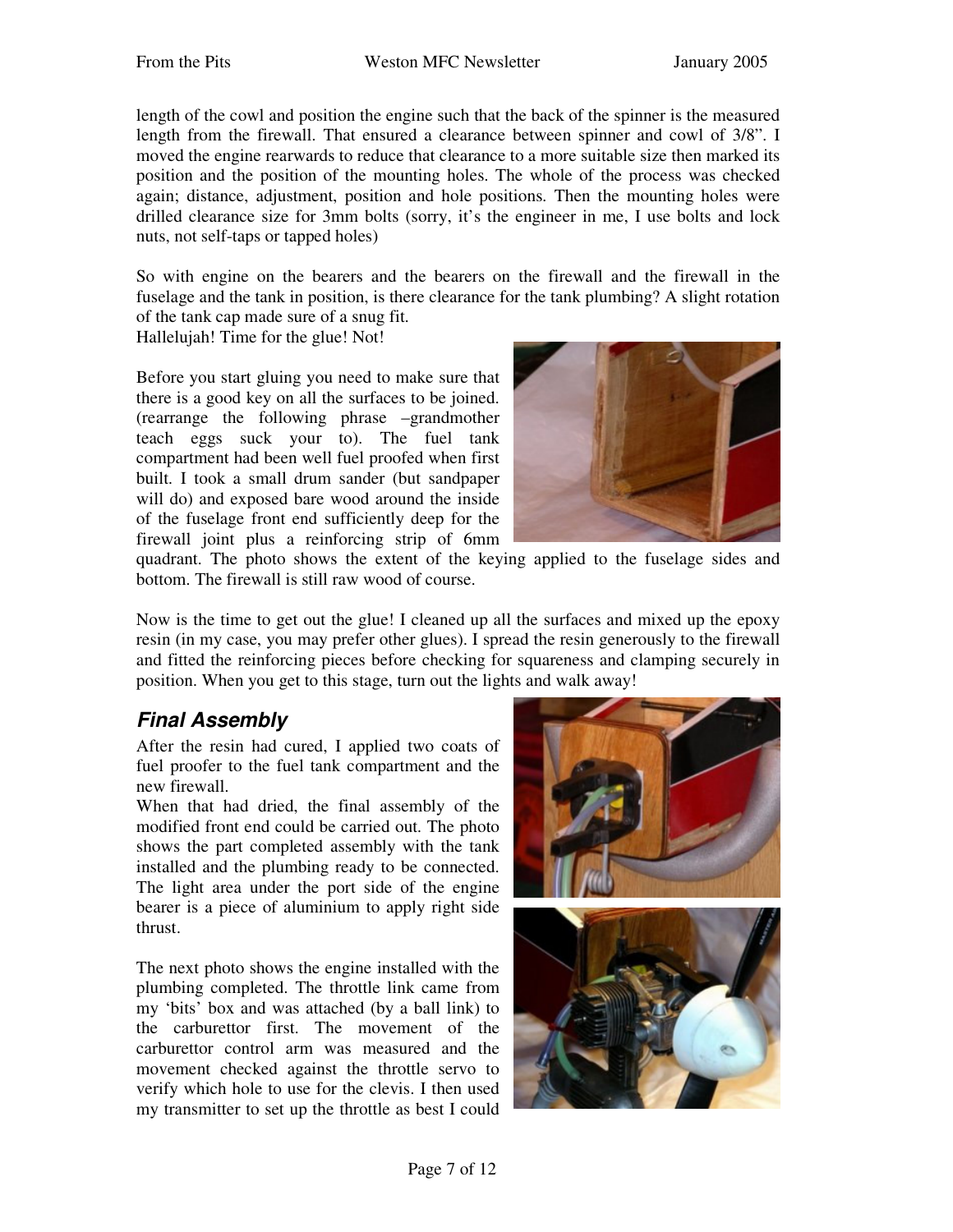length of the cowl and position the engine such that the back of the spinner is the measured length from the firewall. That ensured a clearance between spinner and cowl of 3/8". I moved the engine rearwards to reduce that clearance to a more suitable size then marked its position and the position of the mounting holes. The whole of the process was checked again; distance, adjustment, position and hole positions. Then the mounting holes were drilled clearance size for 3mm bolts (sorry, it's the engineer in me, I use bolts and lock nuts, not self-taps or tapped holes)

So with engine on the bearers and the bearers on the firewall and the firewall in the fuselage and the tank in position, is there clearance for the tank plumbing? A slight rotation of the tank cap made sure of a snug fit.

Hallelujah! Time for the glue! Not!

Before you start gluing you need to make sure that there is a good key on all the surfaces to be joined. (rearrange the following phrase –grandmother teach eggs suck your to). The fuel tank compartment had been well fuel proofed when first built. I took a small drum sander (but sandpaper will do) and exposed bare wood around the inside of the fuselage front end sufficiently deep for the firewall joint plus a reinforcing strip of 6mm



quadrant. The photo shows the extent of the keying applied to the fuselage sides and bottom. The firewall is still raw wood of course.

Now is the time to get out the glue! I cleaned up all the surfaces and mixed up the epoxy resin (in my case, you may prefer other glues). I spread the resin generously to the firewall and fitted the reinforcing pieces before checking for squareness and clamping securely in position. When you get to this stage, turn out the lights and walk away!

### *Final Assembly*

After the resin had cured, I applied two coats of fuel proofer to the fuel tank compartment and the new firewall.

When that had dried, the final assembly of the modified front end could be carried out. The photo shows the part completed assembly with the tank installed and the plumbing ready to be connected. The light area under the port side of the engine bearer is a piece of aluminium to apply right side thrust.

The next photo shows the engine installed with the plumbing completed. The throttle link came from my 'bits' box and was attached (by a ball link) to the carburettor first. The movement of the carburettor control arm was measured and the movement checked against the throttle servo to verify which hole to use for the clevis. I then used my transmitter to set up the throttle as best I could



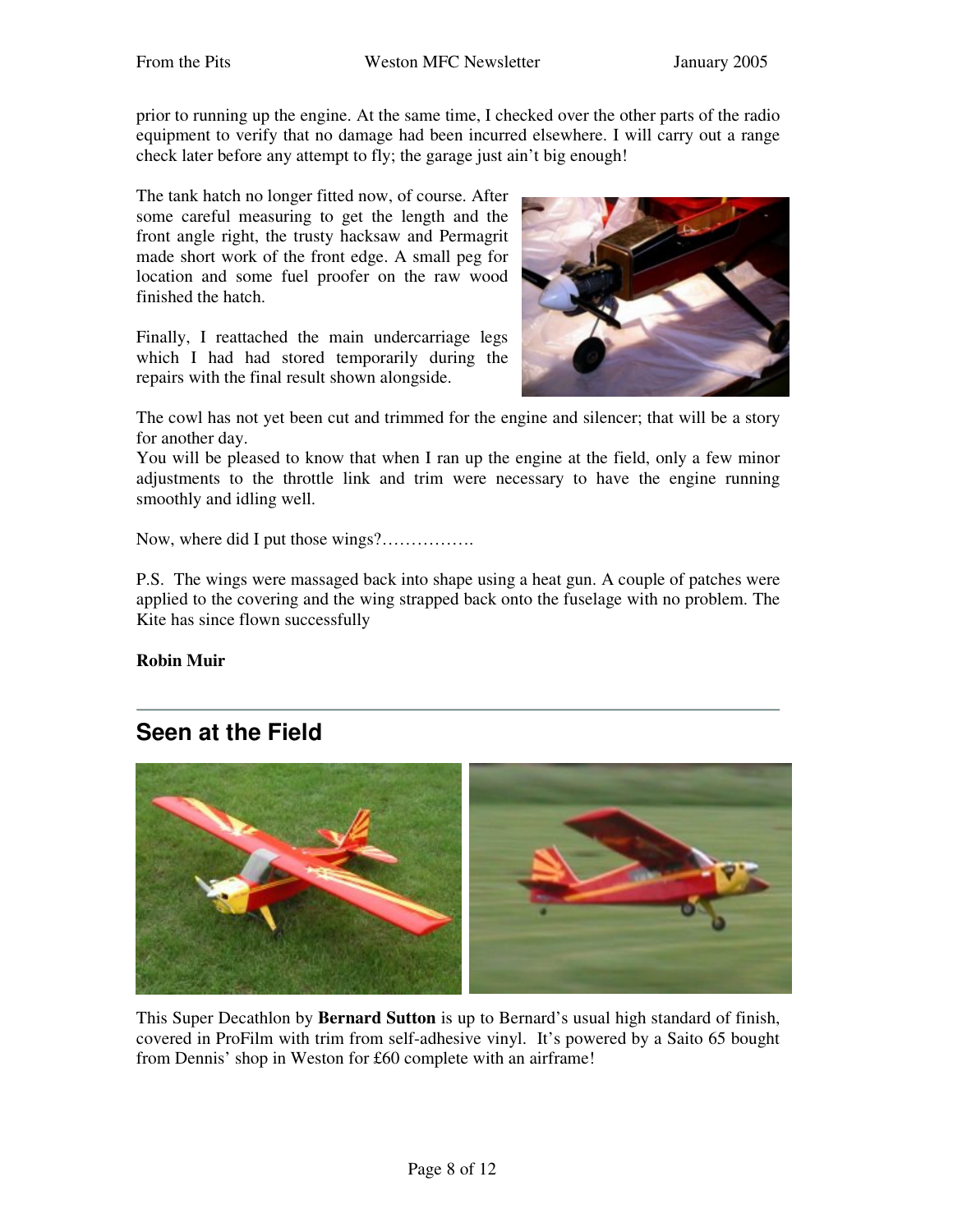prior to running up the engine. At the same time, I checked over the other parts of the radio equipment to verify that no damage had been incurred elsewhere. I will carry out a range check later before any attempt to fly; the garage just ain't big enough!

The tank hatch no longer fitted now, of course. After some careful measuring to get the length and the front angle right, the trusty hacksaw and Permagrit made short work of the front edge. A small peg for location and some fuel proofer on the raw wood finished the hatch.

Finally, I reattached the main undercarriage legs which I had had stored temporarily during the repairs with the final result shown alongside.



The cowl has not yet been cut and trimmed for the engine and silencer; that will be a story for another day.

You will be pleased to know that when I ran up the engine at the field, only a few minor adjustments to the throttle link and trim were necessary to have the engine running smoothly and idling well.

Now, where did I put those wings?…………….

P.S. The wings were massaged back into shape using a heat gun. A couple of patches were applied to the covering and the wing strapped back onto the fuselage with no problem. The Kite has since flown successfully

**Robin Muir**

### **Seen at the Field**



This Super Decathlon by **Bernard Sutton** is up to Bernard's usual high standard of finish, covered in ProFilm with trim from self-adhesive vinyl. It's powered by a Saito 65 bought from Dennis' shop in Weston for £60 complete with an airframe!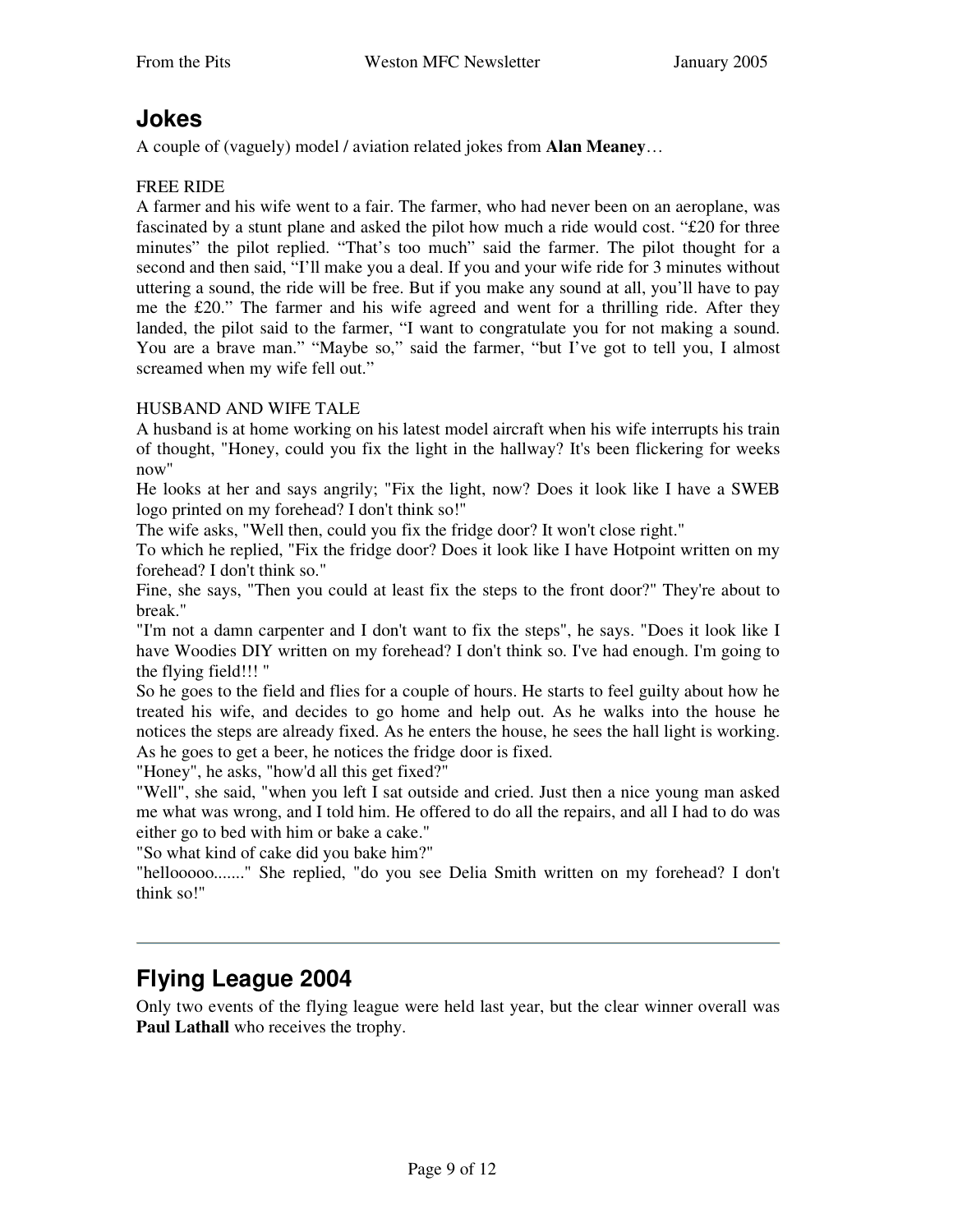### **Jokes**

A couple of (vaguely) model / aviation related jokes from **Alan Meaney**…

#### FREE RIDE

A farmer and his wife went to a fair. The farmer, who had never been on an aeroplane, was fascinated by a stunt plane and asked the pilot how much a ride would cost. "£20 for three minutes" the pilot replied. "That's too much" said the farmer. The pilot thought for a second and then said, "I'll make you a deal. If you and your wife ride for 3 minutes without uttering a sound, the ride will be free. But if you make any sound at all, you'll have to pay me the £20." The farmer and his wife agreed and went for a thrilling ride. After they landed, the pilot said to the farmer, "I want to congratulate you for not making a sound. You are a brave man." "Maybe so," said the farmer, "but I've got to tell you, I almost screamed when my wife fell out."

#### HUSBAND AND WIFE TALE

A husband is at home working on his latest model aircraft when his wife interrupts his train of thought, "Honey, could you fix the light in the hallway? It's been flickering for weeks now"

He looks at her and says angrily; "Fix the light, now? Does it look like I have a SWEB logo printed on my forehead? I don't think so!"

The wife asks, "Well then, could you fix the fridge door? It won't close right."

To which he replied, "Fix the fridge door? Does it look like I have Hotpoint written on my forehead? I don't think so."

Fine, she says, "Then you could at least fix the steps to the front door?" They're about to break."

"I'm not a damn carpenter and I don't want to fix the steps", he says. "Does it look like I have Woodies DIY written on my forehead? I don't think so. I've had enough. I'm going to the flying field!!! "

So he goes to the field and flies for a couple of hours. He starts to feel guilty about how he treated his wife, and decides to go home and help out. As he walks into the house he notices the steps are already fixed. As he enters the house, he sees the hall light is working. As he goes to get a beer, he notices the fridge door is fixed.

"Honey", he asks, "how'd all this get fixed?"

"Well", she said, "when you left I sat outside and cried. Just then a nice young man asked me what was wrong, and I told him. He offered to do all the repairs, and all I had to do was either go to bed with him or bake a cake."

"So what kind of cake did you bake him?"

"hellooooo......." She replied, "do you see Delia Smith written on my forehead? I don't think so!"

## **Flying League 2004**

Only two events of the flying league were held last year, but the clear winner overall was **Paul Lathall** who receives the trophy.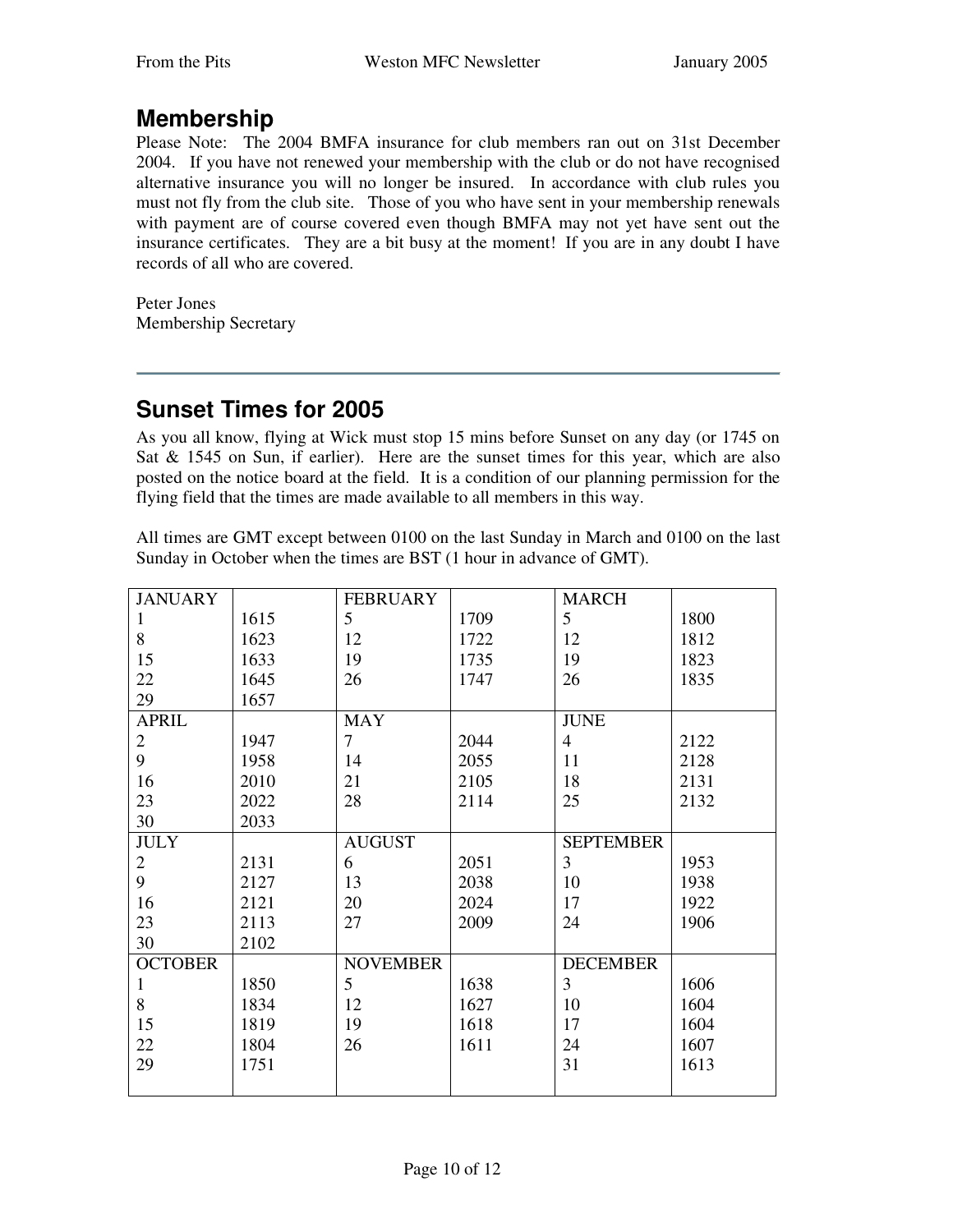## **Membership**

Please Note: The 2004 BMFA insurance for club members ran out on 31st December 2004. If you have not renewed your membership with the club or do not have recognised alternative insurance you will no longer be insured. In accordance with club rules you must not fly from the club site. Those of you who have sent in your membership renewals with payment are of course covered even though BMFA may not yet have sent out the insurance certificates. They are a bit busy at the moment! If you are in any doubt I have records of all who are covered.

Peter Jones Membership Secretary

## **Sunset Times for 2005**

As you all know, flying at Wick must stop 15 mins before Sunset on any day (or 1745 on Sat  $& 1545$  on Sun, if earlier). Here are the sunset times for this year, which are also posted on the notice board at the field. It is a condition of our planning permission for the flying field that the times are made available to all members in this way.

All times are GMT except between 0100 on the last Sunday in March and 0100 on the last Sunday in October when the times are BST (1 hour in advance of GMT).

| <b>JANUARY</b> |      | <b>FEBRUARY</b> |      | <b>MARCH</b>     |      |
|----------------|------|-----------------|------|------------------|------|
| 1              | 1615 | 5               | 1709 | 5                | 1800 |
| 8              | 1623 | 12              | 1722 | 12               | 1812 |
| 15             | 1633 | 19              | 1735 | 19               | 1823 |
| 22             | 1645 | 26              | 1747 | 26               | 1835 |
| 29             | 1657 |                 |      |                  |      |
| <b>APRIL</b>   |      | <b>MAY</b>      |      | <b>JUNE</b>      |      |
| $\overline{2}$ | 1947 | $\overline{7}$  | 2044 | $\overline{4}$   | 2122 |
| 9              | 1958 | 14              | 2055 | 11               | 2128 |
| 16             | 2010 | 21              | 2105 | 18               | 2131 |
| 23             | 2022 | 28              | 2114 | 25               | 2132 |
| 30             | 2033 |                 |      |                  |      |
| <b>JULY</b>    |      | <b>AUGUST</b>   |      | <b>SEPTEMBER</b> |      |
| $\overline{2}$ | 2131 | 6               | 2051 | 3                | 1953 |
| 9              | 2127 | 13              | 2038 | 10               | 1938 |
| 16             | 2121 | 20              | 2024 | 17               | 1922 |
| 23             | 2113 | 27              | 2009 | 24               | 1906 |
| 30             | 2102 |                 |      |                  |      |
| <b>OCTOBER</b> |      | <b>NOVEMBER</b> |      | <b>DECEMBER</b>  |      |
| 1              | 1850 | 5 <sup>5</sup>  | 1638 | 3                | 1606 |
| 8              | 1834 | 12              | 1627 | 10               | 1604 |
| 15             | 1819 | 19              | 1618 | 17               | 1604 |
| 22             | 1804 | 26              | 1611 | 24               | 1607 |
| 29             | 1751 |                 |      | 31               | 1613 |
|                |      |                 |      |                  |      |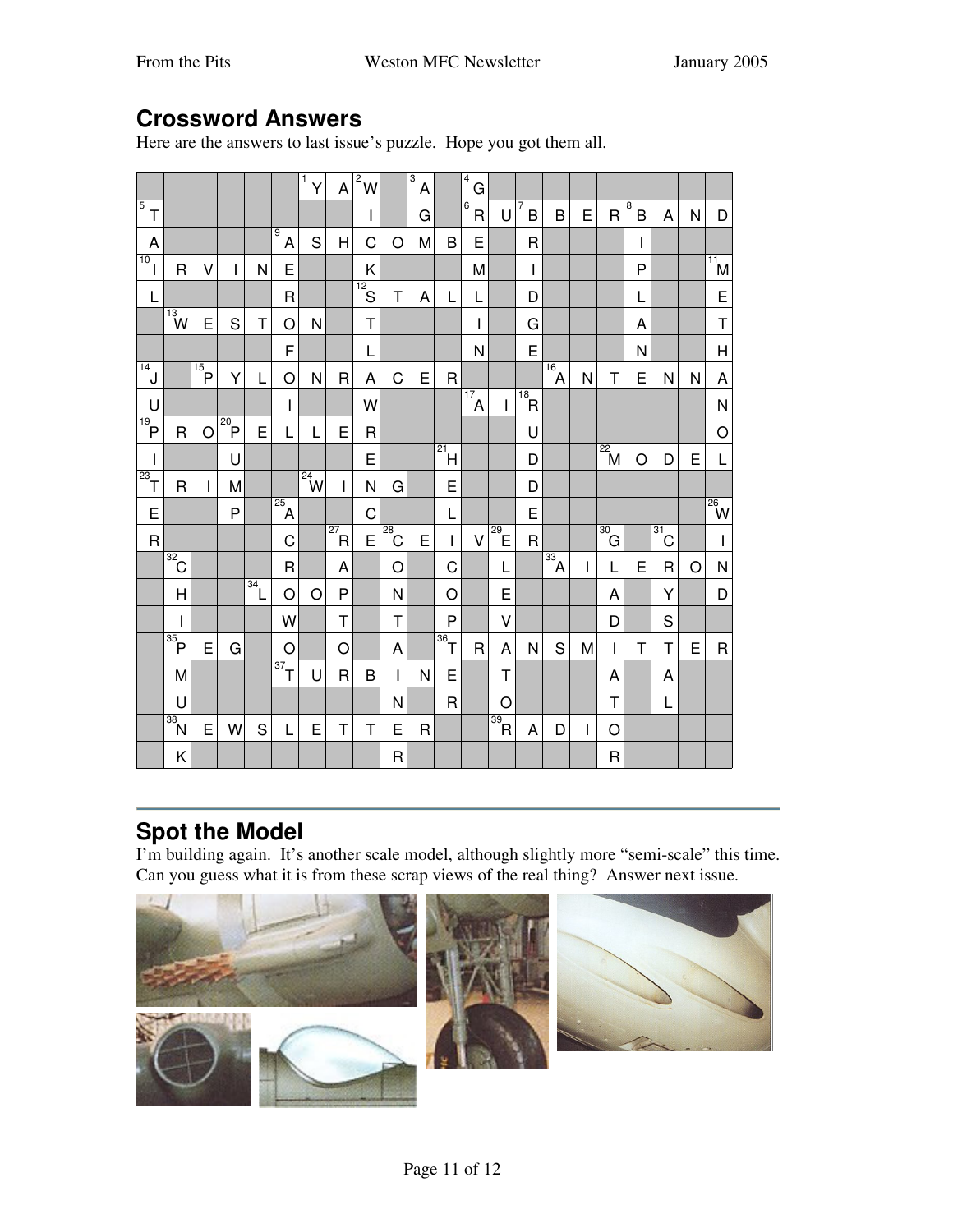## **Crossword Answers**

Here are the answers to last issue's puzzle. Hope you got them all.

|                                                                                                                                                                                                                                                                                                                                                                                  |                              |                 |                |                  |                | 1<br>Υ                | A                            | $\overline{\mathbf{c}}$<br>W |                   | $\overline{\overline{3}}$<br>A |                           | 4<br>G                         |                      |                |                      |   |                       |                     |             |   |                                      |
|----------------------------------------------------------------------------------------------------------------------------------------------------------------------------------------------------------------------------------------------------------------------------------------------------------------------------------------------------------------------------------|------------------------------|-----------------|----------------|------------------|----------------|-----------------------|------------------------------|------------------------------|-------------------|--------------------------------|---------------------------|--------------------------------|----------------------|----------------|----------------------|---|-----------------------|---------------------|-------------|---|--------------------------------------|
| $\overline{5}$<br>T                                                                                                                                                                                                                                                                                                                                                              |                              |                 |                |                  |                |                       |                              | L                            |                   | G                              |                           | $\overline{6}$<br>$\mathsf{R}$ | U                    | 7<br>B         | B                    | E | $\overline{R}$        | $\overline{8}$<br>B | A           | N | D                                    |
| A                                                                                                                                                                                                                                                                                                                                                                                |                              |                 |                |                  | 9<br>A         | S                     | H                            | C                            | O                 | M                              | B                         | E                              |                      | $\mathsf{R}$   |                      |   |                       | $\mathbf{I}$        |             |   |                                      |
| 10<br>L                                                                                                                                                                                                                                                                                                                                                                          | $\overline{R}$               | V               | I              | N                | E              |                       |                              | K                            |                   |                                |                           | M                              |                      | I              |                      |   |                       | P                   |             |   | $\overline{\mathbf{M}}$              |
| L                                                                                                                                                                                                                                                                                                                                                                                |                              |                 |                |                  | $\mathsf{R}$   |                       |                              | $\sqrt{12}$<br>$\frac{S}{S}$ | T                 | A                              | L                         | L                              |                      | D              |                      |   |                       | L                   |             |   | E                                    |
|                                                                                                                                                                                                                                                                                                                                                                                  | $\frac{13}{W}$               | E               | S              | Т                | O              | N                     |                              | $\mathsf T$                  |                   |                                |                           |                                |                      | G              |                      |   |                       | Α                   |             |   | $\mathsf T$                          |
|                                                                                                                                                                                                                                                                                                                                                                                  |                              |                 |                |                  | F              |                       |                              | L                            |                   |                                |                           | N                              |                      | E              |                      |   |                       | N                   |             |   | $\overline{H}$                       |
| $\overline{14}$<br>$\overline{J}$                                                                                                                                                                                                                                                                                                                                                |                              | $\overline{15}$ | Y              | L                | O              | N                     | $\mathsf{R}$                 | A                            | C                 | E                              | R                         |                                |                      |                | $\overline{16}$<br>Ά | N | Τ                     | E                   | N           | N | A                                    |
| U                                                                                                                                                                                                                                                                                                                                                                                |                              |                 |                |                  | I              |                       |                              | W                            |                   |                                |                           | $\overline{A}^{17}$            | L                    | $\overline{P}$ |                      |   |                       |                     |             |   | N                                    |
| $\overline{P}$                                                                                                                                                                                                                                                                                                                                                                   | $\mathsf{R}$                 | $\circ$         | $\overline{P}$ | E                |                | L                     | E                            | R                            |                   |                                |                           |                                |                      | U              |                      |   |                       |                     |             |   | O                                    |
| $\begin{array}{c} \rule{0pt}{2.5ex} \rule{0pt}{2.5ex} \rule{0pt}{2.5ex} \rule{0pt}{2.5ex} \rule{0pt}{2.5ex} \rule{0pt}{2.5ex} \rule{0pt}{2.5ex} \rule{0pt}{2.5ex} \rule{0pt}{2.5ex} \rule{0pt}{2.5ex} \rule{0pt}{2.5ex} \rule{0pt}{2.5ex} \rule{0pt}{2.5ex} \rule{0pt}{2.5ex} \rule{0pt}{2.5ex} \rule{0pt}{2.5ex} \rule{0pt}{2.5ex} \rule{0pt}{2.5ex} \rule{0pt}{2.5ex} \rule{0$ |                              |                 | U              |                  |                |                       |                              | E                            |                   |                                | $\overline{\mathbb{Z}^1}$ |                                |                      | D              |                      |   | $\sqrt{\frac{22}{5}}$ | O                   | D           | E | L                                    |
| $\sqrt{23}$                                                                                                                                                                                                                                                                                                                                                                      | $\mathsf{R}$                 | T               | M              |                  |                | $\sqrt{\frac{24}{y}}$ | $\mathbf{I}$                 | N                            | G                 |                                | E                         |                                |                      | D              |                      |   |                       |                     |             |   |                                      |
| E                                                                                                                                                                                                                                                                                                                                                                                |                              |                 | P              |                  | $\overline{A}$ |                       |                              | C                            |                   |                                | L                         |                                |                      | E              |                      |   |                       |                     |             |   | $\overline{\mathbb{R}}$ $\mathbb{W}$ |
| R                                                                                                                                                                                                                                                                                                                                                                                |                              |                 |                |                  | C              |                       | $\overline{\overline{27}}$ R | E                            | $\overline{28}$ C | E                              | I                         | V                              | $\overline{129}$     | $\mathsf{R}$   |                      |   | $\overline{130}$ G    |                     | 31<br>Ć     |   | $\mathsf{I}$                         |
|                                                                                                                                                                                                                                                                                                                                                                                  | $\frac{1}{32}$               |                 |                |                  | $\mathsf{R}$   |                       | A                            |                              | O                 |                                | C                         |                                | L                    |                | $\overline{33}$<br>Ά | I | L                     | E                   | $\mathsf R$ | O | N                                    |
|                                                                                                                                                                                                                                                                                                                                                                                  | $\overline{\mathsf{H}}$      |                 |                | $\overline{134}$ | O              | O                     | P                            |                              | N                 |                                | O                         |                                | E                    |                |                      |   | A                     |                     | Y           |   | D                                    |
|                                                                                                                                                                                                                                                                                                                                                                                  | T                            |                 |                |                  | W              |                       | Τ                            |                              | T                 |                                | P                         |                                | V                    |                |                      |   | D                     |                     | S           |   |                                      |
|                                                                                                                                                                                                                                                                                                                                                                                  | $\overline{\mathsf{P}}$      | E               | G              |                  | $\circ$        |                       | $\circ$                      |                              | A                 |                                | $\sqrt{36}$               | $\mathsf{R}$                   | A                    | N              | S                    | M | L                     | T                   | T           | E | $\mathsf{R}$                         |
|                                                                                                                                                                                                                                                                                                                                                                                  | M                            |                 |                |                  | $\sqrt{37}$    | U                     | R                            | B                            | $\mathbf{I}$      | N                              | E                         |                                | T                    |                |                      |   | Α                     |                     | A           |   |                                      |
|                                                                                                                                                                                                                                                                                                                                                                                  | U                            |                 |                |                  |                |                       |                              |                              | N                 |                                | $\mathsf R$               |                                | O                    |                |                      |   | Τ                     |                     | L           |   |                                      |
|                                                                                                                                                                                                                                                                                                                                                                                  | $\sqrt{38}$<br>$\frac{N}{2}$ | E               | W              | S                | L              | E                     | T                            | T                            | E                 | $\mathsf{R}$                   |                           |                                | 39<br>$\overline{R}$ | A              | D                    | I | O                     |                     |             |   |                                      |
|                                                                                                                                                                                                                                                                                                                                                                                  | Κ                            |                 |                |                  |                |                       |                              |                              | $\mathsf R$       |                                |                           |                                |                      |                |                      |   | R                     |                     |             |   |                                      |

# **Spot the Model**

I'm building again. It's another scale model, although slightly more "semi-scale" this time. Can you guess what it is from these scrap views of the real thing? Answer next issue.